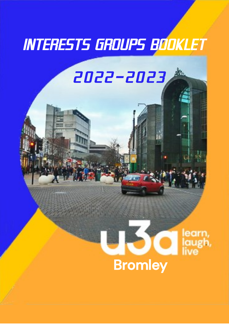# *INTERESTS GROUPS BOOKLET*

## *2022—2023*

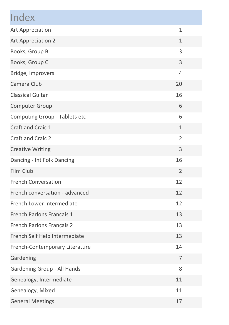| Index                          |                |  |
|--------------------------------|----------------|--|
| Art Appreciation               | $\mathbf{1}$   |  |
| Art Appreciation 2             | $\mathbf{1}$   |  |
| Books, Group B                 | 3              |  |
| Books, Group C                 | 3              |  |
| Bridge, Improvers              | $\overline{4}$ |  |
| Camera Club                    | 20             |  |
| <b>Classical Guitar</b>        | 16             |  |
| Computer Group                 | 6              |  |
| Computing Group - Tablets etc  | 6              |  |
| Craft and Craic 1              | $\mathbf{1}$   |  |
| Craft and Craic 2              | $\overline{2}$ |  |
| <b>Creative Writing</b>        | 3              |  |
| Dancing - Int Folk Dancing     | 16             |  |
| Film Club                      | $\overline{2}$ |  |
| <b>French Conversation</b>     | 12             |  |
| French conversation - advanced | 12             |  |
| French Lower Intermediate      | 12             |  |
| French Parlons Francais 1      | 13             |  |
| French Parlons Français 2      | 13             |  |
| French Self Help Intermediate  | 13             |  |
| French-Contemporary Literature | 14             |  |
| Gardening                      | $\overline{7}$ |  |
| Gardening Group - All Hands    | 8              |  |
| Genealogy, Intermediate        | 11             |  |
| Genealogy, Mixed               | 11             |  |
| <b>General Meetings</b>        | 17             |  |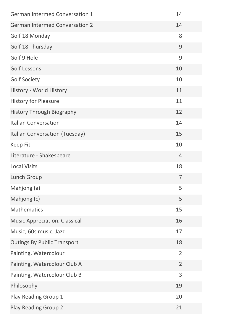| <b>German Intermed Conversation 1</b> | 14             |
|---------------------------------------|----------------|
| <b>German Intermed Conversation 2</b> | 14             |
| Golf 18 Monday                        | 8              |
| Golf 18 Thursday                      | $\mathsf 9$    |
| Golf 9 Hole                           | 9              |
| <b>Golf Lessons</b>                   | 10             |
| <b>Golf Society</b>                   | 10             |
| History - World History               | 11             |
| <b>History for Pleasure</b>           | 11             |
| History Through Biography             | 12             |
| <b>Italian Conversation</b>           | 14             |
| Italian Conversation (Tuesday)        | 15             |
| Keep Fit                              | 10             |
| Literature - Shakespeare              | 4              |
| <b>Local Visits</b>                   | 18             |
| Lunch Group                           | 7              |
| Mahjong (a)                           | 5              |
| Mahjong (c)                           | 5              |
| Mathematics                           | 15             |
| Music Appreciation, Classical         | 16             |
| Music, 60s music, Jazz                | 17             |
| <b>Outings By Public Transport</b>    | 18             |
| Painting, Watercolour                 | 2              |
| Painting, Watercolour Club A          | $\overline{2}$ |
| Painting, Watercolour Club B          | 3              |
| Philosophy                            | 19             |
| Play Reading Group 1                  | 20             |
| Play Reading Group 2                  | 21             |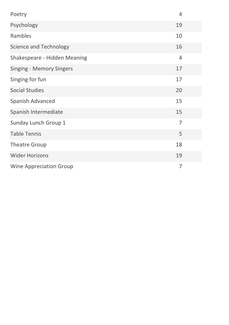| Poetry                       | $\overline{4}$ |
|------------------------------|----------------|
| Psychology                   | 19             |
| Rambles                      | 10             |
| Science and Technology       | 16             |
| Shakespeare - Hidden Meaning | $\overline{4}$ |
| Singing - Memory Singers     | 17             |
| Singing for fun              | 17             |
| <b>Social Studies</b>        | 20             |
| Spanish Advanced             | 15             |
| Spanish Intermediate         | 15             |
| Sunday Lunch Group 1         | 7              |
| <b>Table Tennis</b>          | 5              |
| <b>Theatre Group</b>         | 18             |
| <b>Wider Horizons</b>        | 19             |
| Wine Appreciation Group      | 7              |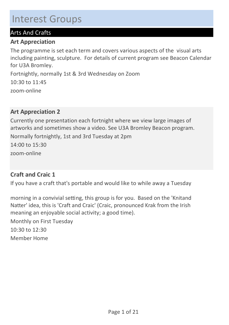## Interest Groups

## Arts And Crafts

## Art Appreciation

The programme is set each term and covers various aspects of the visual arts including painting, sculpture. For details of current program see Beacon Calendar for U3A Bromley.

Fortnightly, normally 1st & 3rd Wednesday on Zoom

zoom-online 10:30 to 11:45

## Art Appreciation 2

Currently one presentation each fortnight where we view large images of artworks and sometimes show a video. See U3A Bromley Beacon program.

zoom-online Normally fortnightly, 1st and 3rd Tuesday at 2pm 14:00 to 15:30

## Craft and Craic 1

If you have a craft that's portable and would like to while away a Tuesday

Member Home morning in a convivial setting, this group is for you. Based on the 'Knitand Natter' idea, this is 'Craft and Craic' (Craic, pronounced Krak from the Irish meaning an enjoyable social activity; a good time). Monthly on First Tuesday 10:30 to 12:30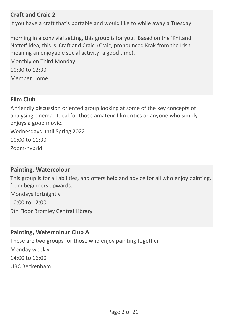## Craft and Craic 2

If you have a craft that's portable and would like to while away a Tuesday

morning in a convivial setting, this group is for you. Based on the 'Knitand Natter' idea, this is 'Craft and Craic' (Craic, pronounced Krak from the Irish meaning an enjoyable social activity; a good time).

Member Home Monthly on Third Monday  $10:30$  to  $12:30$ 

## Film Club

A friendly discussion oriented group looking at some of the key concepts of analysing cinema. Ideal for those amateur film critics or anyone who simply enjoys a good movie.

Zoom-hybrid Wednesdays until Spring 2022 10:00 to 11:30

#### Painting, Watercolour

This group is for all abilities, and offers help and advice for all who enjoy painting, from beginners upwards.

5th Floor Bromley Central Library Mondays fortnightly 10:00 to 12:00

## Painting, Watercolour Club A

URC Beckenham These are two groups for those who enjoy painting together Monday weekly 14:00 to 16:00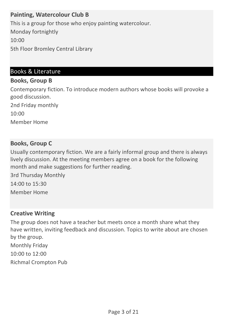## Painting, Watercolour Club B

5th Floor Bromley Central Library This is a group for those who enjoy painting watercolour. Monday fortnightly 10:00

## Books & Literature

#### Books, Group B

Contemporary fiction. To introduce modern authors whose books will provoke a good discussion.

2nd Friday monthly

10:00

Member Home

#### Books, Group C

Usually contemporary fiction. We are a fairly informal group and there is always lively discussion. At the meeting members agree on a book for the following month and make suggestions for further reading.

Member Home 3rd Thursday Monthly 14:00 to 15:30

#### Creative Writing

Richmal Crompton Pub The group does not have a teacher but meets once a month share what they have written, inviting feedback and discussion. Topics to write about are chosen by the group. Monthly Friday 10:00 to 12:00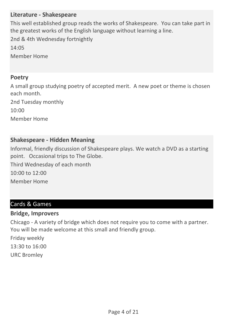## Literature - Shakespeare

Member Home This well established group reads the works of Shakespeare. You can take part in the greatest works of the English language without learning a line. 2nd & 4th Wednesday fortnightly 14:05

#### Poetry

A small group studying poetry of accepted merit. A new poet or theme is chosen each month.

Member Home 2nd Tuesday monthly 10:00

## Shakespeare - Hidden Meaning

Informal, friendly discussion of Shakespeare plays. We watch a DVD as a starting point. Occasional trips to The Globe.

Member Home Third Wednesday of each month 10:00 to 12:00

## Cards & Games

#### Bridge, Improvers

Chicago - A variety of bridge which does not require you to come with a partner. You will be made welcome at this small and friendly group.

URC Bromley Friday weekly 13:30 to 16:00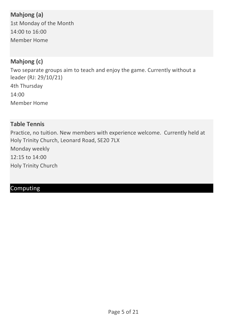## Mahjong (a)

Member Home 1st Monday of the Month 14:00 to 16:00

## Mahjong (c)

Member Home Two separate groups aim to teach and enjoy the game. Currently without a leader (RJ: 29/10/21) 4th Thursday 14:00

## Table Tennis

Holy Trinity Church Practice, no tuition. New members with experience welcome. Currently held at Holy Trinity Church, Leonard Road, SE20 7LX Monday weekly 12:15 to 14:00

## Computing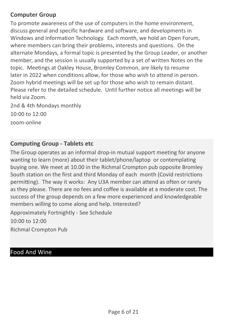## Computer Group

To promote awareness of the use of computers in the home environment, discuss general and specific hardware and software, and developments in Windows and Information Technology. Each month, we hold an Open Forum, where members can bring their problems, interests and questions. On the alternate Mondays, a formal topic is presented by the Group Leader, or another member, and the session is usually supported by a set of written Notes on the topic. Meetings at Oakley House, Bromley Common, are likely to resume later in 2022 when conditions allow, for those who wish to attend in person. Zoom hybrid meetings will be set up for those who wish to remain distant. Please refer to the detailed schedule. Until further notice all meetings will be held via Zoom.

zoom-online 2nd & 4th Mondays monthly 10:00 to 12:00

## Computing Group - Tablets etc

The Group operates as an informal drop-in mutual support meeting for anyone wanting to learn (more) about their tablet/phone/laptop or contemplating buying one. We meet at 10.00 in the Richmal Crompton pub opposite Bromley South station on the first and third Monday of each month (Covid restrictions permitting). The way it works: Any U3A member can attend as often or rarely as they please. There are no fees and coffee is available at a moderate cost. The success of the group depends on a few more experienced and knowledgeable members willing to come along and help. Interested?

Approximately Fortnightly - See Schedule 10:00 to 12:00

Richmal Crompton Pub

## Food And Wine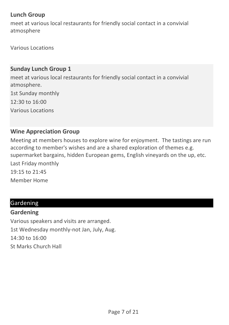## Lunch Group

meet at various local restaurants for friendly social contact in a convivial atmosphere

Various Locations

## Sunday Lunch Group 1

Various Locations meet at various local restaurants for friendly social contact in a convivial atmosphere. 1st Sunday monthly 12:30 to 16:00

## Wine Appreciation Group

Member Home Meeting at members houses to explore wine for enjoyment. The tastings are run according to member's wishes and are a shared exploration of themes e.g. supermarket bargains, hidden European gems, English vineyards on the up, etc. Last Friday monthly 19:15 to 21:45

## Gardening

#### **Gardening**

St Marks Church Hall Various speakers and visits are arranged. 1st Wednesday monthly-not Jan, July, Aug. 14:30 to 16:00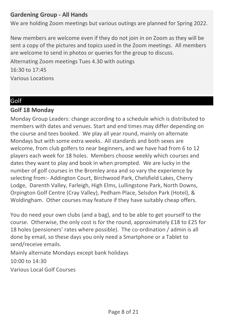## Gardening Group - All Hands

We are holding Zoom meetings but various outings are planned for Spring 2022.

New members are welcome even if they do not join in on Zoom as they will be sent a copy of the pictures and topics used in the Zoom meetings. All members are welcome to send in photos or queries for the group to discuss.

Various Locations Alternating Zoom meetings Tues 4.30 with outings 16:30 to 17:45

## Golf

## Golf 18 Monday

Monday Group Leaders: change according to a schedule which is distributed to members with dates and venues. Start and end times may differ depending on the course and tees booked. We play all year round, mainly on alternate Mondays but with some extra weeks. All standards and both sexes are welcome, from club golfers to near beginners, and we have had from 6 to 12 players each week for 18 holes. Members choose weekly which courses and dates they want to play and book in when prompted. We are lucky in the number of golf courses in the Bromley area and so vary the experience by selecting from:- Addington Court, Birchwood Park, Chelsfield Lakes, Cherry Lodge, Darenth Valley, Farleigh, High Elms, Lullingstone Park, North Downs, Orpington Golf Centre (Cray Valley), Pedham Place, Selsdon Park (Hotel), & Woldingham. Other courses may feature if they have suitably cheap offers.

You do need your own clubs (and a bag), and to be able to get yourself to the course. Otherwise, the only cost is for the round, approximately £18 to £25 for 18 holes (pensioners' rates where possible). The co-ordination / admin is all done by email, so these days you only need a Smartphone or a Tablet to send/receive emails.

Mainly alternate Mondays except bank holidays

10:00 to 14:30

Various Local Golf Courses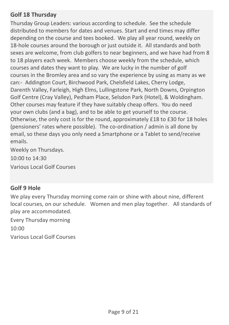## Golf 18 Thursday

Thursday Group Leaders: various according to schedule. See the schedule distributed to members for dates and venues. Start and end times may differ depending on the course and tees booked. We play all year round, weekly on 18-hole courses around the borough or just outside it. All standards and both sexes are welcome, from club golfers to near beginners, and we have had from 8 to 18 players each week. Members choose weekly from the schedule, which courses and dates they want to play. We are lucky in the number of golf courses in the Bromley area and so vary the experience by using as many as we can:- Addington Court, Birchwood Park, Chelsfield Lakes, Cherry Lodge, Darenth Valley, Farleigh, High Elms, Lullingstone Park, North Downs, Orpington Golf Centre (Cray Valley), Pedham Place, Selsdon Park (Hotel), & Woldingham. Other courses may feature if they have suitably cheap offers. You do need your own clubs (and a bag), and to be able to get yourself to the course. Otherwise, the only cost is for the round, approximately £18 to £30 for 18 holes (pensioners' rates where possible). The co-ordination / admin is all done by email, so these days you only need a Smartphone or a Tablet to send/receive emails.

Various Local Golf Courses Weekly on Thursdays. 10:00 to 14:30

## Golf 9 Hole

We play every Thursday morning come rain or shine with about nine, different local courses, on our schedule. Women and men play together. All standards of play are accommodated.

Every Thursday morning

10:00

Various Local Golf Courses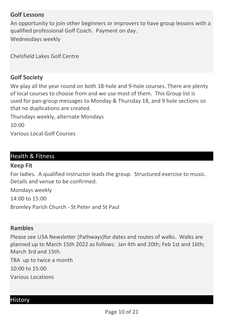#### Golf Lessons

An opportunity to join other beginners or improvers to have group lessons with a qualified professional Golf Coach. Payment on day.

Wednesdays weekly

Chelsfield Lakes Golf Centre

#### Golf Society

We play all the year round on both 18-hole and 9-hole courses. There are plenty of local courses to choose from and we use most of them. This Group list is used for pan-group messages to Monday & Thursday 18, and 9 hole sections so that no duplications are created.

Thursdays weekly, alternate Mondays  $10:00$ 

Various Local Golf Courses

## Health & Fitness

#### Keep Fit

For ladies. A qualified instructor leads the group. Structured exercise to music. Details and venue to be confirmed.

Bromley Parish Church - St Peter and St Paul Mondays weekly 14:00 to 15:00

#### Rambles

Please see U3A Newsletter (Pathways)for dates and routes of walks. Walks are planned up to March 15th 2022 as follows: Jan 4th and 20th; Feb 1st and 16th; March 3rd and 15th.

Various Locations TBA up to twice a month 10:00 to 15:00

#### History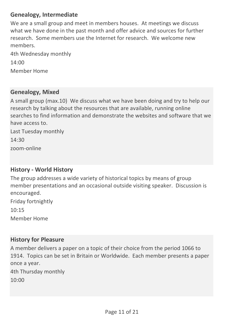## Genealogy, Intermediate

We are a small group and meet in members houses. At meetings we discuss what we have done in the past month and offer advice and sources for further research. Some members use the Internet for research. We welcome new members.

Member Home 4th Wednesday monthly  $14:00$ 

#### Genealogy, Mixed

A small group (max.10) We discuss what we have been doing and try to help our research by talking about the resources that are available, running online searches to find information and demonstrate the websites and software that we have access to.

zoom-online Last Tuesday monthly 14:30

#### History - World History

The group addresses a wide variety of historical topics by means of group member presentations and an occasional outside visiting speaker. Discussion is encouraged.

Member Home Friday fortnightly 10:15

#### History for Pleasure

A member delivers a paper on a topic of their choice from the period 1066 to 1914. Topics can be set in Britain or Worldwide. Each member presents a paper once a year.

4th Thursday monthly

10:00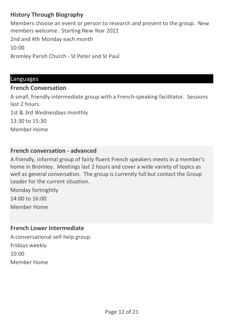## History Through Biography

Bromley Parish Church - St Peter and St Paul Members choose an event or person to research and present to the group. New members welcome. Starting New Year 2022 2nd and 4th Monday each month 10:00

#### Languages

#### French Conversation

Member Home A small, friendly intermediate group with a French-speaking facilitator. Sessions last 2 hours. 1st & 3rd Wednesdays monthly 13:30 to 15:30

## French conversation - advanced

A friendly, informal group of fairly fluent French speakers meets in a member's home in Bromley. Meetings last 2 hours and cover a wide variety of topics as well as general conversation. The group is currently full but contact the Group Leader for the current situation.

Member Home Monday fortnightly 14:00 to 16:00

## French Lower Intermediate

Member Home A conversational self-help group. Fridays weekly  $10:00$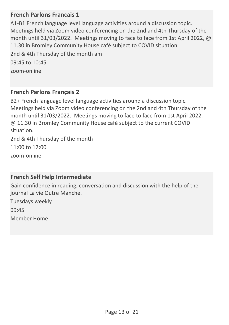## French Parlons Francais 1

A1-B1 French language level language activities around a discussion topic. Meetings held via Zoom video conferencing on the 2nd and 4th Thursday of the month until 31/03/2022. Meetings moving to face to face from 1st April 2022, @ 11.30 in Bromley Community House café subject to COVID situation.

2nd & 4th Thursday of the month am 09:45 to 10:45

zoom-online

#### French Parlons Français 2

B2+ French language level language activities around a discussion topic. Meetings held via Zoom video conferencing on the 2nd and 4th Thursday of the month until 31/03/2022. Meetings moving to face to face from 1st April 2022, @ 11.30 in Bromley Community House café subject to the current COVID situation.

zoom-online 2nd & 4th Thursday of the month 11:00 to 12:00

#### French Self Help Intermediate

Gain confidence in reading, conversation and discussion with the help of the journal La vie Outre Manche.

Member Home Tuesdays weekly 09:45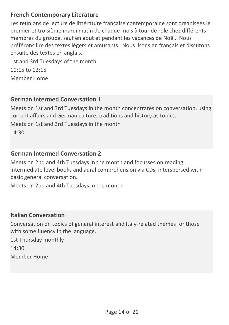## French-Contemporary Literature

Les reunions de lecture de littérature française contemporaine sont organisées le premier et troisième mardi matin de chaque mois à tour de rôle chez différents membres du groupe, sauf en août et pendant les vacances de Noël. Nous préférons lire des textes légers et amusants. Nous lisons en français et discutons ensuite des textes en anglais.

Member Home 1st and 3rd Tuesdays of the month 10:15 to 12:15

## German Intermed Conversation 1

Meets on 1st and 3rd Tuesdays in the month concentrates on conversation, using current affairs and German culture, traditions and history as topics. Meets on 1st and 3rd Tuesdays in the month  $14.30$ 

## German Intermed Conversation 2

Meets on 2nd and 4th Tuesdays in the month and focusses on reading intermediate level books and aural comprehension via CDs, interspersed with basic general conversation.

Meets on 2nd and 4th Tuesdays in the month

## Italian Conversation

Conversation on topics of general interest and Italy-related themes for those with some fluency in the language.

Member Home 1st Thursday monthly 14:30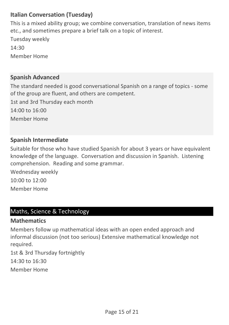## Italian Conversation (Tuesday)

This is a mixed ability group; we combine conversation, translation of news items etc., and sometimes prepare a brief talk on a topic of interest.

Member Home Tuesday weekly 14:30

## Spanish Advanced

Member Home The standard needed is good conversational Spanish on a range of topics - some of the group are fluent, and others are competent. 1st and 3rd Thursday each month 14:00 to 16:00

## Spanish Intermediate

Suitable for those who have studied Spanish for about 3 years or have equivalent knowledge of the language. Conversation and discussion in Spanish. Listening comprehension. Reading and some grammar.

Member Home Wednesday weekly 10:00 to 12:00

## Maths, Science & Technology

## **Mathematics**

Members follow up mathematical ideas with an open ended approach and informal discussion (not too serious) Extensive mathematical knowledge not required.

Member Home 1st & 3rd Thursday fortnightly 14:30 to 16:30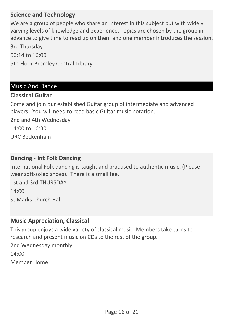## Science and Technology

We are a group of people who share an interest in this subject but with widely varying levels of knowledge and experience. Topics are chosen by the group in advance to give time to read up on them and one member introduces the session. 3rd Thursday

5th Floor Bromley Central Library 00:14 to 16:00

#### Music And Dance

#### Classical Guitar

Come and join our established Guitar group of intermediate and advanced players. You will need to read basic Guitar music notation.

2nd and 4th Wednesday 14:00 to 16:30

URC Beckenham

#### Dancing - Int Folk Dancing

International Folk dancing is taught and practised to authentic music. (Please wear soft-soled shoes). There is a small fee.

St Marks Church Hall 1st and 3rd THURSDAY 14:00

#### Music Appreciation, Classical

This group enjoys a wide variety of classical music. Members take turns to research and present music on CDs to the rest of the group.

Member Home 2nd Wednesday monthly  $14:00$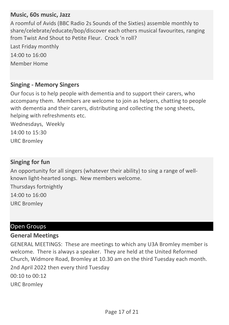## Music, 60s music, Jazz

A roomful of Avids (BBC Radio 2s Sounds of the Sixties) assemble monthly to share/celebrate/educate/bop/discover each others musical favourites, ranging from Twist And Shout to Petite Fleur. Crock 'n roll?

Member Home Last Friday monthly 14:00 to 16:00

#### Singing - Memory Singers

Our focus is to help people with dementia and to support their carers, who accompany them. Members are welcome to join as helpers, chatting to people with dementia and their carers, distributing and collecting the song sheets, helping with refreshments etc.

URC Bromley Wednesdays, Weekly 14:00 to 15:30

#### Singing for fun

An opportunity for all singers (whatever their ability) to sing a range of wellknown light-hearted songs. New members welcome.

URC Bromley Thursdays fortnightly 14:00 to 16:00

## Open Groups

#### General Meetings

URC Bromley GENERAL MEETINGS: These are meetings to which any U3A Bromley member is welcome. There is always a speaker. They are held at the United Reformed Church, Widmore Road, Bromley at 10.30 am on the third Tuesday each month. 2nd April 2022 then every third Tuesday 00:10 to 00:12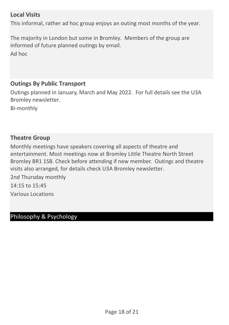#### Local Visits

This informal, rather ad hoc group enjoys an outing most months of the year.

The majority in London but some in Bromley. Members of the group are informed of future planned outings by email. Ad hoc

#### Outings By Public Transport

Outings planned in January, March and May 2022. For full details see the U3A Bromley newsletter.

Bi-monthly

## Theatre Group

Monthly meetings have speakers covering all aspects of theatre and entertainment. Most meetings now at Bromley Little Theatre North Street Bromley BR1 1SB. Check before attending if new member. Outings and theatre visits also arranged, for details check U3A Bromley newsletter.

Various Locations 2nd Thursday monthly 14:15 to 15:45

## Philosophy & Psychology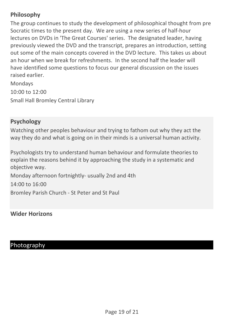## Philosophy

The group continues to study the development of philosophical thought from pre Socratic times to the present day. We are using a new series of half-hour lectures on DVDs in 'The Great Courses' series. The designated leader, having previously viewed the DVD and the transcript, prepares an introduction, setting out some of the main concepts covered in the DVD lecture. This takes us about an hour when we break for refreshments. In the second half the leader will have identified some questions to focus our general discussion on the issues raised earlier.

Small Hall Bromley Central Library Mondays 10:00 to 12:00

#### Psychology

Watching other peoples behaviour and trying to fathom out why they act the way they do and what is going on in their minds is a universal human activity.

Psychologists try to understand human behaviour and formulate theories to explain the reasons behind it by approaching the study in a systematic and objective way.

Bromley Parish Church - St Peter and St Paul Monday afternoon fortnightly- usually 2nd and 4th 14:00 to 16:00

Wider Horizons

## Photography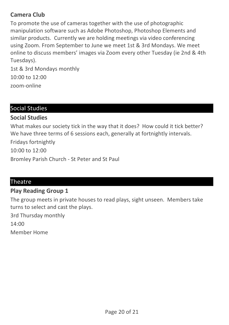## Camera Club

To promote the use of cameras together with the use of photographic manipulation software such as Adobe Photoshop, Photoshop Elements and similar products. Currently we are holding meetings via video conferencing using Zoom. From September to June we meet 1st & 3rd Mondays. We meet online to discuss members' images via Zoom every other Tuesday (ie 2nd & 4th Tuesdays).

zoom-online 1st & 3rd Mondays monthly 10:00 to 12:00

## Social Studies

## Social Studies

Bromley Parish Church - St Peter and St Paul What makes our society tick in the way that it does? How could it tick better? We have three terms of 6 sessions each, generally at fortnightly intervals. Fridays fortnightly 10:00 to 12:00

## **Theatre**

## Play Reading Group 1

The group meets in private houses to read plays, sight unseen. Members take turns to select and cast the plays.

3rd Thursday monthly

14:00

Member Home